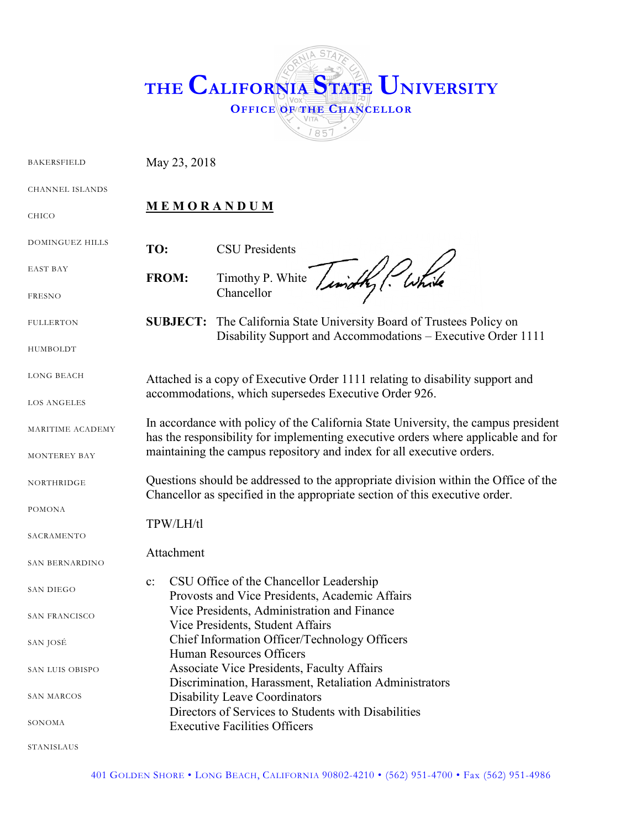

| <b>BAKERSFIELD</b>     | May 23, 2018                                                                                                                                                            |                                                                                                                             |  |
|------------------------|-------------------------------------------------------------------------------------------------------------------------------------------------------------------------|-----------------------------------------------------------------------------------------------------------------------------|--|
| <b>CHANNEL ISLANDS</b> |                                                                                                                                                                         |                                                                                                                             |  |
| <b>CHICO</b>           | <b>MEMORANDUM</b>                                                                                                                                                       |                                                                                                                             |  |
| DOMINGUEZ HILLS        | TO:                                                                                                                                                                     | <b>CSU</b> Presidents                                                                                                       |  |
| EAST BAY               | <b>FROM:</b>                                                                                                                                                            | Timothy P. White<br>Chancellor                                                                                              |  |
| <b>FRESNO</b>          |                                                                                                                                                                         |                                                                                                                             |  |
| <b>FULLERTON</b>       | <b>SUBJECT:</b>                                                                                                                                                         | The California State University Board of Trustees Policy on<br>Disability Support and Accommodations – Executive Order 1111 |  |
| HUMBOLDT               |                                                                                                                                                                         |                                                                                                                             |  |
| <b>LONG BEACH</b>      | Attached is a copy of Executive Order 1111 relating to disability support and<br>accommodations, which supersedes Executive Order 926.                                  |                                                                                                                             |  |
| LOS ANGELES            |                                                                                                                                                                         |                                                                                                                             |  |
| MARITIME ACADEMY       | In accordance with policy of the California State University, the campus president<br>has the responsibility for implementing executive orders where applicable and for |                                                                                                                             |  |
| MONTEREY BAY           | maintaining the campus repository and index for all executive orders.                                                                                                   |                                                                                                                             |  |
| NORTHRIDGE             | Questions should be addressed to the appropriate division within the Office of the<br>Chancellor as specified in the appropriate section of this executive order.       |                                                                                                                             |  |
| POMONA                 |                                                                                                                                                                         |                                                                                                                             |  |
| SACRAMENTO             | TPW/LH/tl                                                                                                                                                               |                                                                                                                             |  |
| SAN BERNARDINO         | Attachment                                                                                                                                                              |                                                                                                                             |  |
| <b>SAN DIEGO</b>       | $\mathbf{c}$ :                                                                                                                                                          | CSU Office of the Chancellor Leadership<br>Provosts and Vice Presidents, Academic Affairs                                   |  |
| SAN FRANCISCO          |                                                                                                                                                                         | Vice Presidents, Administration and Finance<br>Vice Presidents, Student Affairs                                             |  |
| SAN JOSÉ               |                                                                                                                                                                         | Chief Information Officer/Technology Officers<br><b>Human Resources Officers</b>                                            |  |
| SAN LUIS OBISPO        |                                                                                                                                                                         | <b>Associate Vice Presidents, Faculty Affairs</b><br>Discrimination, Harassment, Retaliation Administrators                 |  |
| SAN MARCOS             |                                                                                                                                                                         | <b>Disability Leave Coordinators</b><br>Directors of Services to Students with Disabilities                                 |  |
| SONOMA                 |                                                                                                                                                                         | <b>Executive Facilities Officers</b>                                                                                        |  |
| STANISLAUS             |                                                                                                                                                                         |                                                                                                                             |  |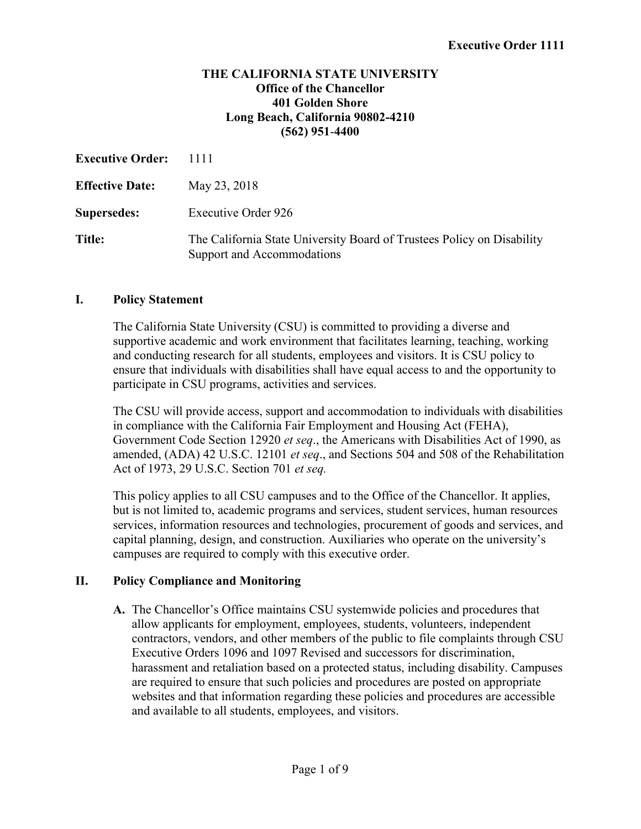#### **THE CALIFORNIA STATE UNIVERSITY Office of the Chancellor 401 Golden Shore Long Beach, California 90802-4210 (562) 951**-**4400**

| <b>Executive Order:</b> | 1111                                                                                                 |  |
|-------------------------|------------------------------------------------------------------------------------------------------|--|
| <b>Effective Date:</b>  | May 23, 2018                                                                                         |  |
| <b>Supersedes:</b>      | <b>Executive Order 926</b>                                                                           |  |
| Title:                  | The California State University Board of Trustees Policy on Disability<br>Support and Accommodations |  |

#### **I. Policy Statement**

The California State University (CSU) is committed to providing a diverse and supportive academic and work environment that facilitates learning, teaching, working and conducting research for all students, employees and visitors. It is CSU policy to ensure that individuals with disabilities shall have equal access to and the opportunity to participate in CSU programs, activities and services.

The CSU will provide access, support and accommodation to individuals with disabilities in compliance with the California Fair Employment and Housing Act (FEHA), Government Code Section 12920 *et seq*., the Americans with Disabilities Act of 1990, as amended, (ADA) 42 U.S.C. 12101 *et seq*., and Sections 504 and 508 of the Rehabilitation Act of 1973, 29 U.S.C. Section 701 *et seq.* 

This policy applies to all CSU campuses and to the Office of the Chancellor. It applies, but is not limited to, academic programs and services, student services, human resources services, information resources and technologies, procurement of goods and services, and capital planning, design, and construction. Auxiliaries who operate on the university's campuses are required to comply with this executive order.

#### **II. Policy Compliance and Monitoring**

**A.** The Chancellor's Office maintains CSU systemwide policies and procedures that allow applicants for employment, employees, students, volunteers, independent contractors, vendors, and other members of the public to file complaints through CSU Executive Orders 1096 and 1097 Revised and successors for discrimination, harassment and retaliation based on a protected status, including disability. Campuses are required to ensure that such policies and procedures are posted on appropriate websites and that information regarding these policies and procedures are accessible and available to all students, employees, and visitors.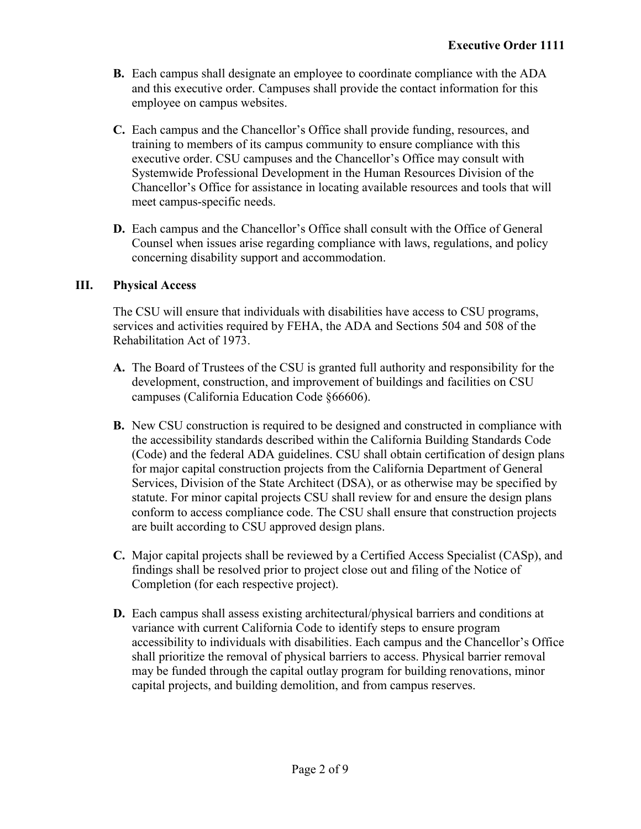- **B.** Each campus shall designate an employee to coordinate compliance with the ADA and this executive order. Campuses shall provide the contact information for this employee on campus websites.
- **C.** Each campus and the Chancellor's Office shall provide funding, resources, and training to members of its campus community to ensure compliance with this executive order. CSU campuses and the Chancellor's Office may consult with Systemwide Professional Development in the Human Resources Division of the Chancellor's Office for assistance in locating available resources and tools that will meet campus-specific needs.
- **D.** Each campus and the Chancellor's Office shall consult with the Office of General Counsel when issues arise regarding compliance with laws, regulations, and policy concerning disability support and accommodation.

## **III. Physical Access**

The CSU will ensure that individuals with disabilities have access to CSU programs, services and activities required by FEHA, the ADA and Sections 504 and 508 of the Rehabilitation Act of 1973.

- **A.** The Board of Trustees of the CSU is granted full authority and responsibility for the development, construction, and improvement of buildings and facilities on CSU campuses (California Education Code §66606).
- **B.** New CSU construction is required to be designed and constructed in compliance with the accessibility standards described within the California Building Standards Code (Code) and the federal ADA guidelines. CSU shall obtain certification of design plans for major capital construction projects from the California Department of General Services, Division of the State Architect (DSA), or as otherwise may be specified by statute. For minor capital projects CSU shall review for and ensure the design plans conform to access compliance code. The CSU shall ensure that construction projects are built according to CSU approved design plans.
- **C.** Major capital projects shall be reviewed by a Certified Access Specialist (CASp), and findings shall be resolved prior to project close out and filing of the Notice of Completion (for each respective project).
- **D.** Each campus shall assess existing architectural/physical barriers and conditions at variance with current California Code to identify steps to ensure program accessibility to individuals with disabilities. Each campus and the Chancellor's Office shall prioritize the removal of physical barriers to access. Physical barrier removal may be funded through the capital outlay program for building renovations, minor capital projects, and building demolition, and from campus reserves.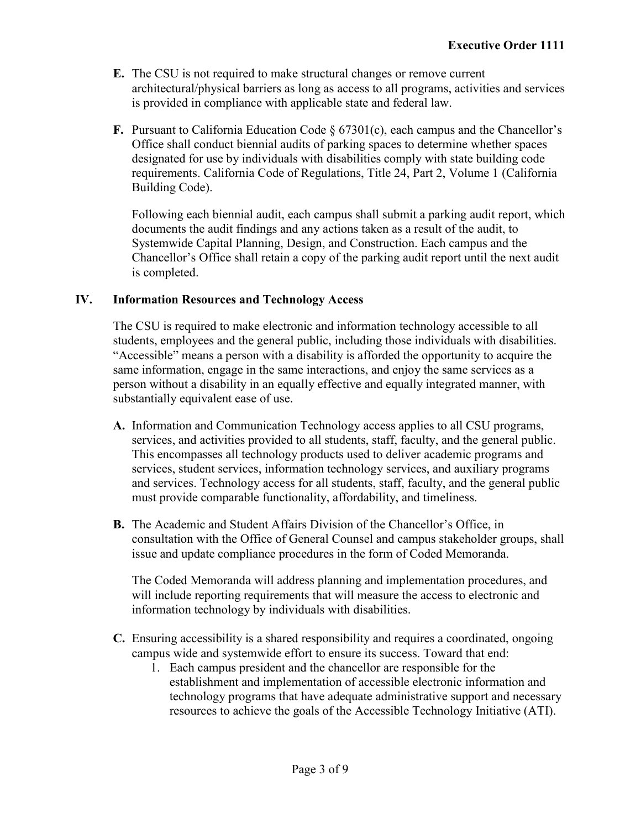- **E.** The CSU is not required to make structural changes or remove current architectural/physical barriers as long as access to all programs, activities and services is provided in compliance with applicable state and federal law.
- **F.** Pursuant to California Education Code § 67301(c), each campus and the Chancellor's Office shall conduct biennial audits of parking spaces to determine whether spaces designated for use by individuals with disabilities comply with state building code requirements. California Code of Regulations, Title 24, Part 2, Volume 1 (California Building Code).

Following each biennial audit, each campus shall submit a parking audit report, which documents the audit findings and any actions taken as a result of the audit, to Systemwide Capital Planning, Design, and Construction. Each campus and the Chancellor's Office shall retain a copy of the parking audit report until the next audit is completed.

## **IV. Information Resources and Technology Access**

The CSU is required to make electronic and information technology accessible to all students, employees and the general public, including those individuals with disabilities. "Accessible" means a person with a disability is afforded the opportunity to acquire the same information, engage in the same interactions, and enjoy the same services as a person without a disability in an equally effective and equally integrated manner, with substantially equivalent ease of use.

- **A.** Information and Communication Technology access applies to all CSU programs, services, and activities provided to all students, staff, faculty, and the general public. This encompasses all technology products used to deliver academic programs and services, student services, information technology services, and auxiliary programs and services. Technology access for all students, staff, faculty, and the general public must provide comparable functionality, affordability, and timeliness.
- **B.** The Academic and Student Affairs Division of the Chancellor's Office, in consultation with the Office of General Counsel and campus stakeholder groups, shall issue and update compliance procedures in the form of Coded Memoranda.

The Coded Memoranda will address planning and implementation procedures, and will include reporting requirements that will measure the access to electronic and information technology by individuals with disabilities.

- **C.** Ensuring accessibility is a shared responsibility and requires a coordinated, ongoing campus wide and systemwide effort to ensure its success. Toward that end:
	- 1. Each campus president and the chancellor are responsible for the establishment and implementation of accessible electronic information and technology programs that have adequate administrative support and necessary resources to achieve the goals of the Accessible Technology Initiative (ATI).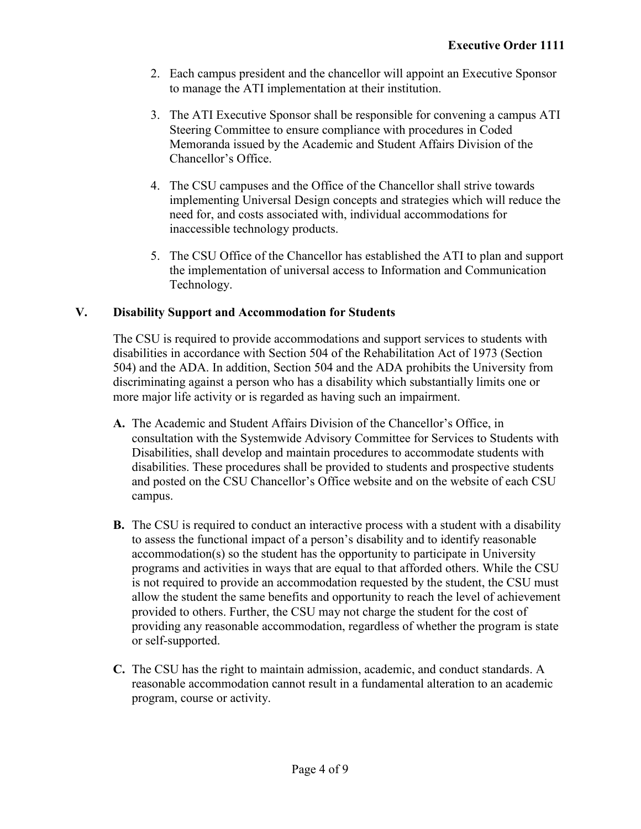- 2. Each campus president and the chancellor will appoint an Executive Sponsor to manage the ATI implementation at their institution.
- 3. The ATI Executive Sponsor shall be responsible for convening a campus ATI Steering Committee to ensure compliance with procedures in Coded Memoranda issued by the Academic and Student Affairs Division of the Chancellor's Office.
- 4. The CSU campuses and the Office of the Chancellor shall strive towards implementing Universal Design concepts and strategies which will reduce the need for, and costs associated with, individual accommodations for inaccessible technology products.
- 5. The CSU Office of the Chancellor has established the ATI to plan and support the implementation of universal access to Information and Communication Technology.

# **V. Disability Support and Accommodation for Students**

The CSU is required to provide accommodations and support services to students with disabilities in accordance with Section 504 of the Rehabilitation Act of 1973 (Section 504) and the ADA. In addition, Section 504 and the ADA prohibits the University from discriminating against a person who has a disability which substantially limits one or more major life activity or is regarded as having such an impairment.

- **A.** The Academic and Student Affairs Division of the Chancellor's Office, in consultation with the Systemwide Advisory Committee for Services to Students with Disabilities, shall develop and maintain procedures to accommodate students with disabilities. These procedures shall be provided to students and prospective students and posted on the CSU Chancellor's Office website and on the website of each CSU campus.
- **B.** The CSU is required to conduct an interactive process with a student with a disability to assess the functional impact of a person's disability and to identify reasonable accommodation(s) so the student has the opportunity to participate in University programs and activities in ways that are equal to that afforded others. While the CSU is not required to provide an accommodation requested by the student, the CSU must allow the student the same benefits and opportunity to reach the level of achievement provided to others. Further, the CSU may not charge the student for the cost of providing any reasonable accommodation, regardless of whether the program is state or self-supported.
- **C.** The CSU has the right to maintain admission, academic, and conduct standards. A reasonable accommodation cannot result in a fundamental alteration to an academic program, course or activity.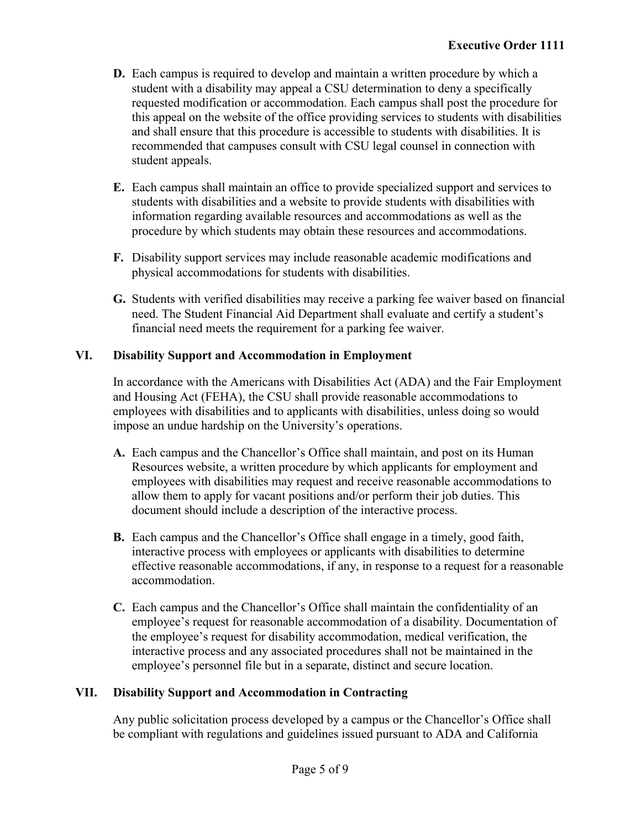- **D.** Each campus is required to develop and maintain a written procedure by which a student with a disability may appeal a CSU determination to deny a specifically requested modification or accommodation. Each campus shall post the procedure for this appeal on the website of the office providing services to students with disabilities and shall ensure that this procedure is accessible to students with disabilities. It is recommended that campuses consult with CSU legal counsel in connection with student appeals.
- **E.** Each campus shall maintain an office to provide specialized support and services to students with disabilities and a website to provide students with disabilities with information regarding available resources and accommodations as well as the procedure by which students may obtain these resources and accommodations.
- **F.** Disability support services may include reasonable academic modifications and physical accommodations for students with disabilities.
- **G.** Students with verified disabilities may receive a parking fee waiver based on financial need. The Student Financial Aid Department shall evaluate and certify a student's financial need meets the requirement for a parking fee waiver.

## **VI. Disability Support and Accommodation in Employment**

In accordance with the Americans with Disabilities Act (ADA) and the Fair Employment and Housing Act (FEHA), the CSU shall provide reasonable accommodations to employees with disabilities and to applicants with disabilities, unless doing so would impose an undue hardship on the University's operations.

- **A.** Each campus and the Chancellor's Office shall maintain, and post on its Human Resources website, a written procedure by which applicants for employment and employees with disabilities may request and receive reasonable accommodations to allow them to apply for vacant positions and/or perform their job duties. This document should include a description of the interactive process.
- **B.** Each campus and the Chancellor's Office shall engage in a timely, good faith, interactive process with employees or applicants with disabilities to determine effective reasonable accommodations, if any, in response to a request for a reasonable accommodation.
- **C.** Each campus and the Chancellor's Office shall maintain the confidentiality of an employee's request for reasonable accommodation of a disability. Documentation of the employee's request for disability accommodation, medical verification, the interactive process and any associated procedures shall not be maintained in the employee's personnel file but in a separate, distinct and secure location.

# **VII. Disability Support and Accommodation in Contracting**

Any public solicitation process developed by a campus or the Chancellor's Office shall be compliant with regulations and guidelines issued pursuant to ADA and California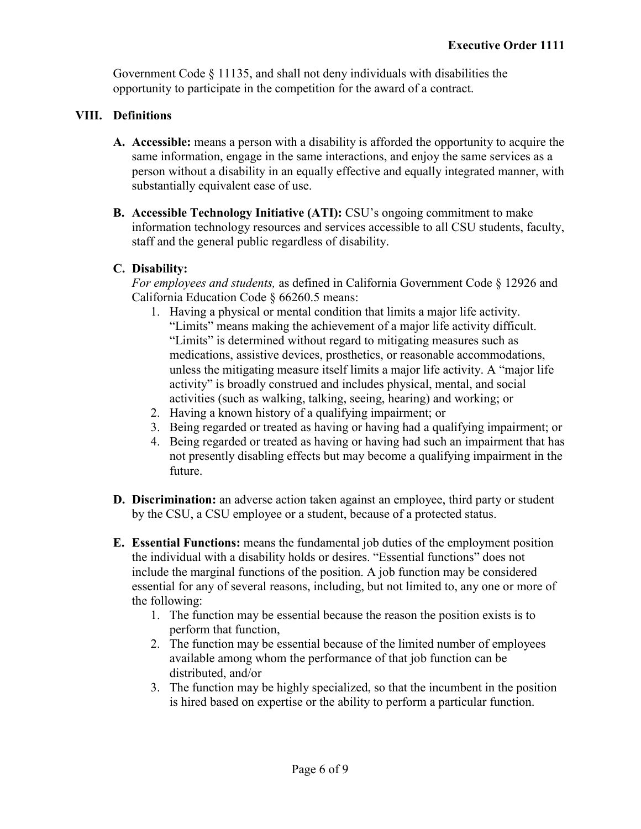Government Code  $\S$  11135, and shall not deny individuals with disabilities the opportunity to participate in the competition for the award of a contract.

# **VIII. Definitions**

- **A. Accessible:** means a person with a disability is afforded the opportunity to acquire the same information, engage in the same interactions, and enjoy the same services as a person without a disability in an equally effective and equally integrated manner, with substantially equivalent ease of use.
- **B. Accessible Technology Initiative (ATI):** CSU's ongoing commitment to make information technology resources and services accessible to all CSU students, faculty, staff and the general public regardless of disability.

## **C. Disability:**

*For employees and students,* as defined in California Government Code § 12926 and California Education Code § 66260.5 means:

- 1. Having a physical or mental condition that limits a major life activity. "Limits" means making the achievement of a major life activity difficult. "Limits" is determined without regard to mitigating measures such as medications, assistive devices, prosthetics, or reasonable accommodations, unless the mitigating measure itself limits a major life activity. A "major life activity" is broadly construed and includes physical, mental, and social activities (such as walking, talking, seeing, hearing) and working; or
- 2. Having a known history of a qualifying impairment; or
- 3. Being regarded or treated as having or having had a qualifying impairment; or
- 4. Being regarded or treated as having or having had such an impairment that has not presently disabling effects but may become a qualifying impairment in the future.
- **D. Discrimination:** an adverse action taken against an employee, third party or student by the CSU, a CSU employee or a student, because of a protected status.
- **E. Essential Functions:** means the fundamental job duties of the employment position the individual with a disability holds or desires. "Essential functions" does not include the marginal functions of the position. A job function may be considered essential for any of several reasons, including, but not limited to, any one or more of the following:
	- 1. The function may be essential because the reason the position exists is to perform that function,
	- 2. The function may be essential because of the limited number of employees available among whom the performance of that job function can be distributed, and/or
	- 3. The function may be highly specialized, so that the incumbent in the position is hired based on expertise or the ability to perform a particular function.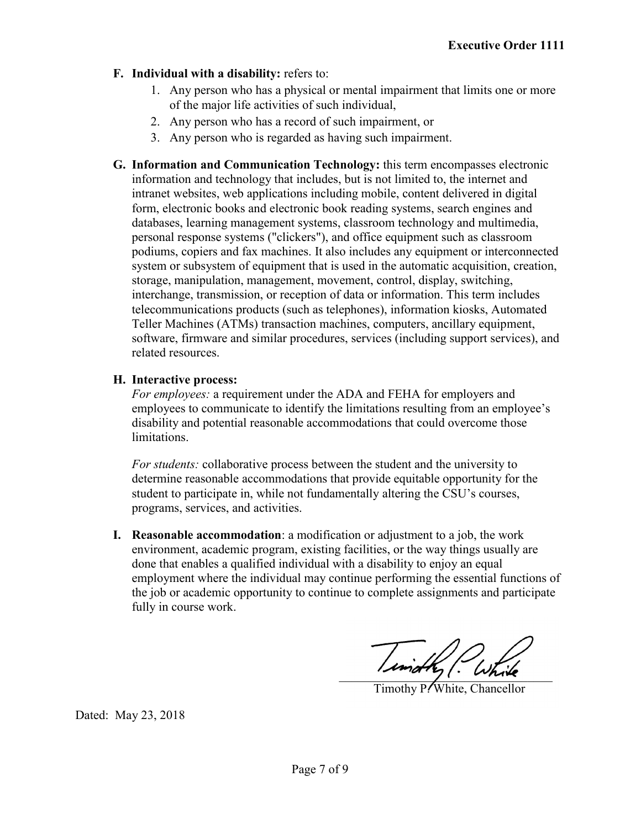- **F. Individual with a disability:** refers to:
	- 1. Any person who has a physical or mental impairment that limits one or more of the major life activities of such individual,
	- 2. Any person who has a record of such impairment, or
	- 3. Any person who is regarded as having such impairment.
- **G. Information and Communication Technology:** this term encompasses electronic information and technology that includes, but is not limited to, the internet and intranet websites, web applications including mobile, content delivered in digital form, electronic books and electronic book reading systems, search engines and databases, learning management systems, classroom technology and multimedia, personal response systems ("clickers"), and office equipment such as classroom podiums, copiers and fax machines. It also includes any equipment or interconnected system or subsystem of equipment that is used in the automatic acquisition, creation, storage, manipulation, management, movement, control, display, switching, interchange, transmission, or reception of data or information. This term includes telecommunications products (such as telephones), information kiosks, Automated Teller Machines (ATMs) transaction machines, computers, ancillary equipment, software, firmware and similar procedures, services (including support services), and related resources.

## **H. Interactive process:**

*For employees:* a requirement under the ADA and FEHA for employers and employees to communicate to identify the limitations resulting from an employee's disability and potential reasonable accommodations that could overcome those limitations.

*For students:* collaborative process between the student and the university to determine reasonable accommodations that provide equitable opportunity for the student to participate in, while not fundamentally altering the CSU's courses, programs, services, and activities.

**I. Reasonable accommodation**: a modification or adjustment to a job, the work environment, academic program, existing facilities, or the way things usually are done that enables a qualified individual with a disability to enjoy an equal employment where the individual may continue performing the essential functions of the job or academic opportunity to continue to complete assignments and participate fully in course work.

Tindky Putik

Timothy P. White, Chancellor

Dated: May 23, 2018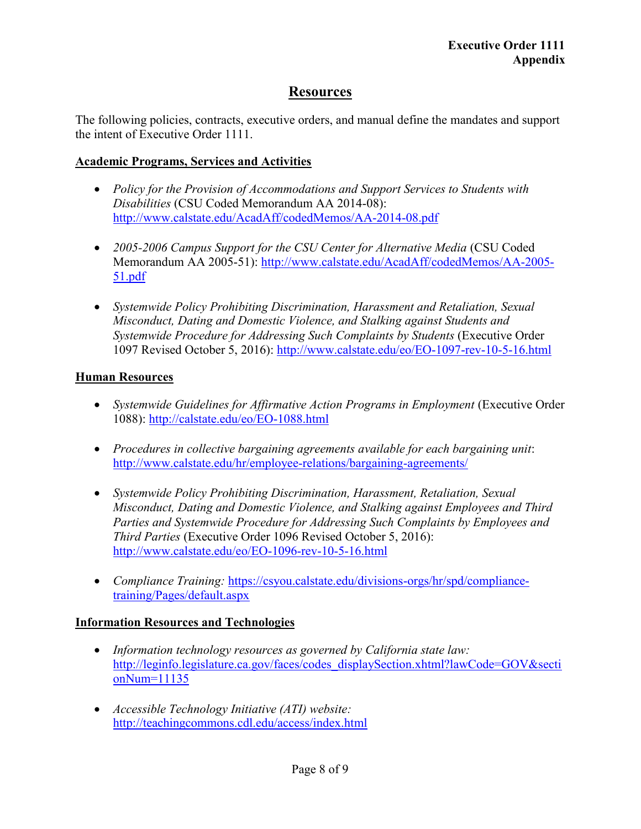# **Resources**

The following policies, contracts, executive orders, and manual define the mandates and support the intent of Executive Order 1111.

#### **Academic Programs, Services and Activities**

- · *Policy for the Provision of Accommodations and Support Services to Students with Disabilities* (CSU Coded Memorandum AA 2014-08): <http://www.calstate.edu/AcadAff/codedMemos/AA-2014-08.pdf>
- · *2005-2006 Campus Support for the CSU Center for Alternative Media* (CSU Coded Memorandum AA 2005-51): [http://www.calstate.edu/AcadAff/codedMemos/AA-2005-](http://www.calstate.edu/AcadAff/codedMemos/AA-2005-51.pdf) [51.pdf](http://www.calstate.edu/AcadAff/codedMemos/AA-2005-51.pdf)
- · *Systemwide Policy Prohibiting Discrimination, Harassment and Retaliation, Sexual Misconduct, Dating and Domestic Violence, and Stalking against Students and Systemwide Procedure for Addressing Such Complaints by Students* (Executive Order 1097 Revised October 5, 2016): <http://www.calstate.edu/eo/EO-1097-rev-10-5-16.html>

#### **Human Resources**

- *Systemwide Guidelines for Affirmative Action Programs in Employment* (Executive Order 1088):<http://calstate.edu/eo/EO-1088.html>
- · *Procedures in collective bargaining agreements available for each bargaining unit*: <http://www.calstate.edu/hr/employee-relations/bargaining-agreements/>
- · *Systemwide Policy Prohibiting Discrimination, Harassment, Retaliation, Sexual Misconduct, Dating and Domestic Violence, and Stalking against Employees and Third Parties and Systemwide Procedure for Addressing Such Complaints by Employees and Third Parties* (Executive Order 1096 Revised October 5, 2016): <http://www.calstate.edu/eo/EO-1096-rev-10-5-16.html>
- · *Compliance Training:* [https://csyou.calstate.edu/divisions-orgs/hr/spd/compliance](https://csyou.calstate.edu/divisions-orgs/hr/spd/compliance-training/Pages/default.aspx)[training/Pages/default.aspx](https://csyou.calstate.edu/divisions-orgs/hr/spd/compliance-training/Pages/default.aspx)

#### **Information Resources and Technologies**

- · *Information technology resources as governed by California state law:*  [http://leginfo.legislature.ca.gov/faces/codes\\_displaySection.xhtml?lawCode=GOV&secti](http://leginfo.legislature.ca.gov/faces/codes_displaySection.xhtml?lawCode=GOV§ionNum=11135) [onNum=11135](http://leginfo.legislature.ca.gov/faces/codes_displaySection.xhtml?lawCode=GOV§ionNum=11135)
- · *Accessible Technology Initiative (ATI) website:* <http://teachingcommons.cdl.edu/access/index.html>